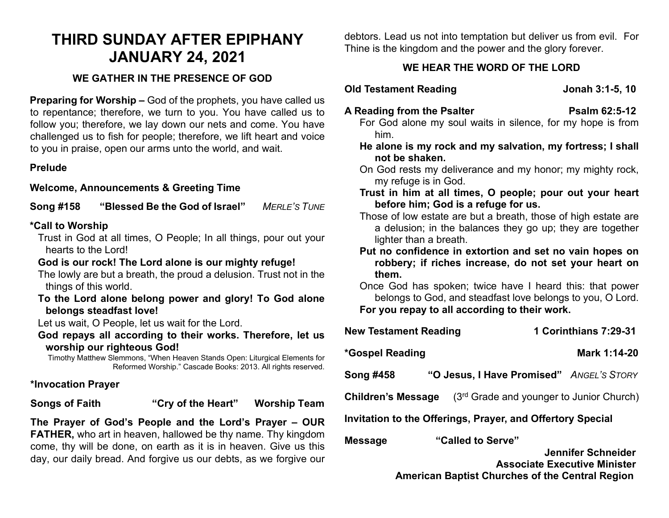# **THIRD SUNDAY AFTER EPIPHANY JANUARY 24, 2021**

# **WE GATHER IN THE PRESENCE OF GOD**

**Preparing for Worship –** God of the prophets, you have called us to repentance; therefore, we turn to you. You have called us to follow you; therefore, we lay down our nets and come. You have challenged us to fish for people; therefore, we lift heart and voice to you in praise, open our arms unto the world, and wait.

# **Prelude**

# **Welcome, Announcements & Greeting Time**

**Song #158 "Blessed Be the God of Israel"** *MERLE'S TUNE*

## **\*Call to Worship**

Trust in God at all times, O People; In all things, pour out your hearts to the Lord!

# **God is our rock! The Lord alone is our mighty refuge!**

The lowly are but a breath, the proud a delusion. Trust not in the things of this world.

**To the Lord alone belong power and glory! To God alone belongs steadfast love!** 

Let us wait, O People, let us wait for the Lord.

**God repays all according to their works. Therefore, let us worship our righteous God!**

Timothy Matthew Slemmons, "When Heaven Stands Open: Liturgical Elements for Reformed Worship." Cascade Books: 2013. All rights reserved.

## **\*Invocation Prayer**

**Songs of Faith "Cry of the Heart" Worship Team**

**The Prayer of God's People and the Lord's Prayer – OUR FATHER,** who art in heaven, hallowed be thy name. Thy kingdom come, thy will be done, on earth as it is in heaven. Give us this day, our daily bread. And forgive us our debts, as we forgive our

debtors. Lead us not into temptation but deliver us from evil. For Thine is the kingdom and the power and the glory forever.

# **WE HEAR THE WORD OF THE LORD**

**Old Testament Reading Construction Construction State Set of Disk Jonah 3:1-5, 10** 

- A Reading from the Psalter **PSALUA READING PSALUA READING PSALUA READING PSALUA READING PSALUA READING PSALUA RE** 
	- For God alone my soul waits in silence, for my hope is from him.
	- **He alone is my rock and my salvation, my fortress; I shall not be shaken.**
	- On God rests my deliverance and my honor; my mighty rock, my refuge is in God.
	- **Trust in him at all times, O people; pour out your heart before him; God is a refuge for us.**
	- Those of low estate are but a breath, those of high estate are a delusion; in the balances they go up; they are together lighter than a breath.
	- **Put no confidence in extortion and set no vain hopes on robbery; if riches increase, do not set your heart on them.**
	- Once God has spoken; twice have I heard this: that power belongs to God, and steadfast love belongs to you, O Lord. **For you repay to all according to their work.**

| <b>New Testament Reading</b>                               | 1 Corinthians 7:29-31                                                          |
|------------------------------------------------------------|--------------------------------------------------------------------------------|
| *Gospel Reading                                            | Mark 1:14-20                                                                   |
| Song #458                                                  | "O Jesus, I Have Promised" ANGEL'S STORY                                       |
| Children's Message                                         | (3rd Grade and younger to Junior Church)                                       |
| Invitation to the Offerings, Prayer, and Offertory Special |                                                                                |
| <b>Message</b>                                             | "Called to Serve"<br>Jennifer Schneider<br><b>Associate Executive Minister</b> |

**American Baptist Churches of the Central Region**